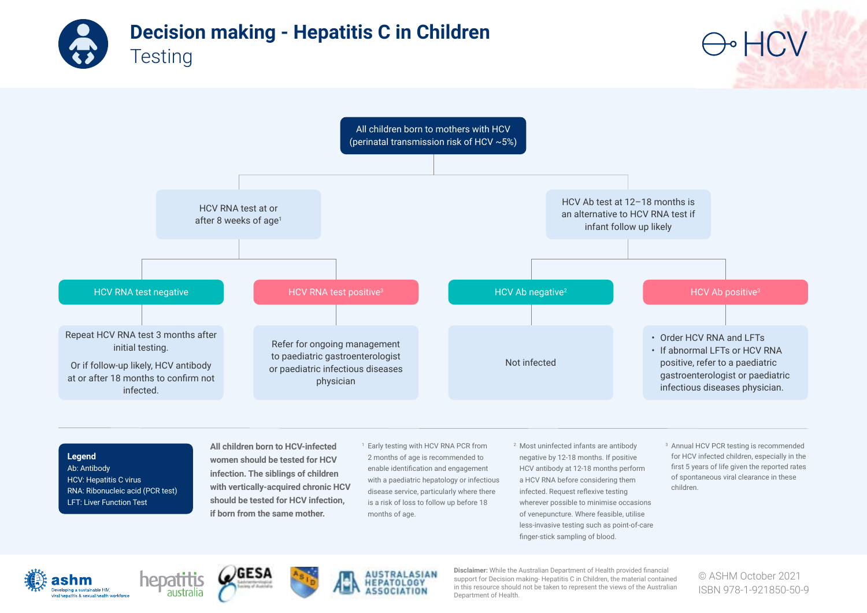



Ab: Antibody HCV: Hepatitis C virus RNA: Ribonucleic acid (PCR test) LFT: Liver Function Test

**infection. The siblings of children with vertically-acquired chronic HCV should be tested for HCV infection, if born from the same mother.** 

enable identification and engagement with a paediatric hepatology or infectious disease service, particularly where there is a risk of loss to follow up before 18 months of age.

HCV antibody at 12-18 months perform a HCV RNA before considering them infected. Request reflexive testing wherever possible to minimise occasions of venepuncture. Where feasible, utilise less-invasive testing such as point-of-care finger-stick sampling of blood.

first 5 years of life given the reported rates of spontaneous viral clearance in these children.

Developing a sustainable HIV, iral hepatitis & sexual health workforce







**Disclaimer:** While the Australian Department of Health provided financial support for Decision making- Hepatitis C in Children, the material contained in this resource should not be taken to represent the views of the Australian Department of Health.

© ASHM October 2021 ISBN 978-1-921850-50-9